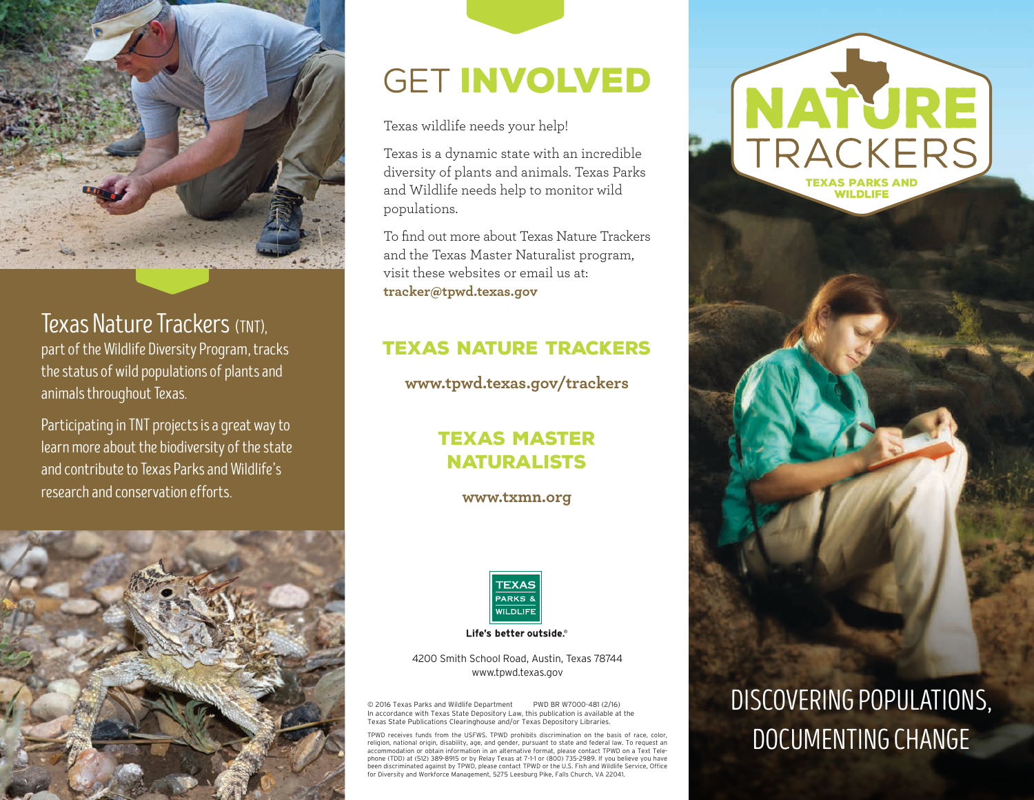

### Texas Nature Trackers (TNT),

part of the Wildlife Diversity Program, tracks the status of wild populations of plants and animals throughout Texas.

Participating in TNT projects is a great way to learn more about the biodiversity of the state and contribute to Texas Parks and Wildlife's research and conservation efforts.



# GET INVOLVED

Texas wildlife needs your help!

Texas is a dynamic state with an incredible diversity of plants and animals. Texas Parks and Wildlife needs help to monitor wild populations.

To find out more about Texas Nature Trackers and the Texas Master Naturalist program, visit these websites or email us at: **tracker@tpwd.texas.gov**

### texas nature trackers

**www.tpwd.texas.gov/trackers**

### texas master naturalists

**www.txmn.org**



Life's better outside.®

4200 Smith School Road, Austin, Texas 78744 www.tpwd.texas.gov

© 2016 Texas Parks and Wildlife Department PWD BR W7000-481 (2/16) In accordance with Texas State Depository Law, this publication is available at the Texas State Publications Clearinghouse and/or Texas Depository Libraries.

TPWD receives funds from the USFWS. TPWD prohibits discrimination on the basis of race, color, religion, national origin, disability, age, and gender, pursuant to state and federal law. To request an accommodation or obtain information in an alternative format, please contact TPWD on a Text Telephone (TDD) at (512) 389-8915 or by Relay Texas at 7-1-1 or (800) 735-2989. If you believe you have been discriminated against by TPWD, please contact TPWD or the U.S. Fish and Wildlife Service, Office for Diversity and Workforce Management, 5275 Leesburg Pike, Falls Church, VA 22041.



TRACKERS

**TEXAS PARKS AND<br>WILDLIFE** 

# DISCOVERING POPULATIONS, DOCUMENTING CHANGE